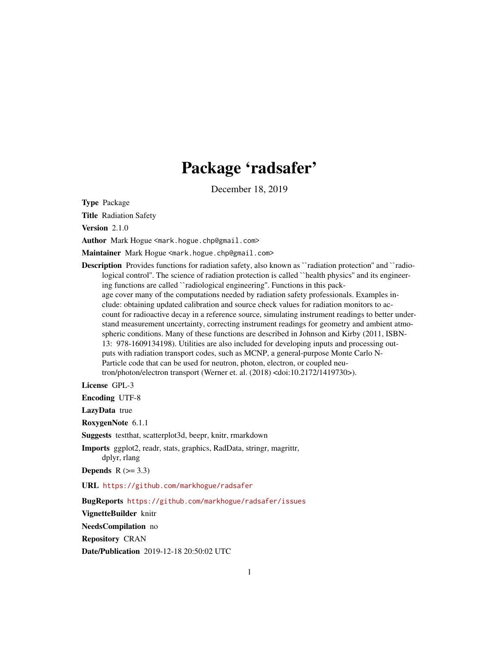## Package 'radsafer'

December 18, 2019

Type Package

Title Radiation Safety

Version 2.1.0

Author Mark Hogue <mark.hogue.chp@gmail.com>

Maintainer Mark Hogue <mark.hogue.chp@gmail.com>

Description Provides functions for radiation safety, also known as ``radiation protection'' and ``radiological control". The science of radiation protection is called ``health physics" and its engineering functions are called ``radiological engineering''. Functions in this package cover many of the computations needed by radiation safety professionals. Examples include: obtaining updated calibration and source check values for radiation monitors to account for radioactive decay in a reference source, simulating instrument readings to better understand measurement uncertainty, correcting instrument readings for geometry and ambient atmospheric conditions. Many of these functions are described in Johnson and Kirby (2011, ISBN-13: 978-1609134198). Utilities are also included for developing inputs and processing outputs with radiation transport codes, such as MCNP, a general-purpose Monte Carlo N-Particle code that can be used for neutron, photon, electron, or coupled neutron/photon/electron transport (Werner et. al. (2018) <doi:10.2172/1419730>).

License GPL-3

Encoding UTF-8

LazyData true

RoxygenNote 6.1.1

Suggests testthat, scatterplot3d, beepr, knitr, rmarkdown

Imports ggplot2, readr, stats, graphics, RadData, stringr, magrittr, dplyr, rlang

Depends  $R$  ( $>= 3.3$ )

URL <https://github.com/markhogue/radsafer>

BugReports <https://github.com/markhogue/radsafer/issues>

VignetteBuilder knitr

NeedsCompilation no

Repository CRAN

Date/Publication 2019-12-18 20:50:02 UTC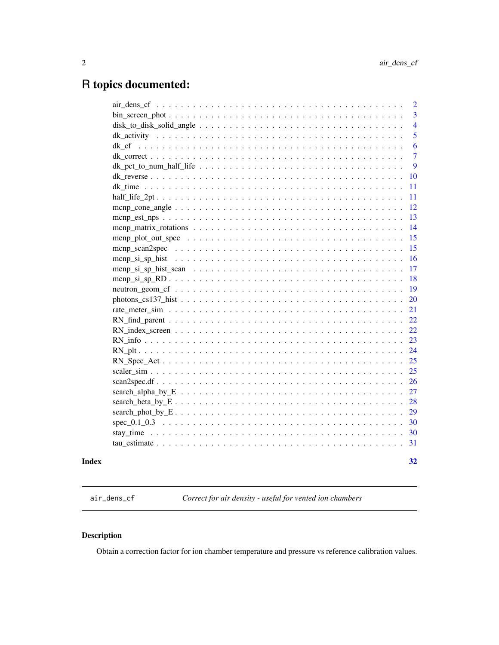## <span id="page-1-0"></span>R topics documented:

|                                                                                                                                                | $\overline{2}$ |
|------------------------------------------------------------------------------------------------------------------------------------------------|----------------|
|                                                                                                                                                | 3              |
|                                                                                                                                                | $\overline{4}$ |
|                                                                                                                                                | 5              |
|                                                                                                                                                | 6              |
|                                                                                                                                                | $\overline{7}$ |
|                                                                                                                                                | 9              |
|                                                                                                                                                | 10             |
|                                                                                                                                                | 11             |
|                                                                                                                                                |                |
|                                                                                                                                                |                |
|                                                                                                                                                | 13             |
|                                                                                                                                                | 14             |
|                                                                                                                                                | 15             |
|                                                                                                                                                | 15             |
|                                                                                                                                                | 16             |
|                                                                                                                                                | 17             |
|                                                                                                                                                | 18             |
|                                                                                                                                                | 19             |
| $photons_c s137\_hist$                                                                                                                         | 20             |
|                                                                                                                                                | 21             |
|                                                                                                                                                | 22             |
|                                                                                                                                                |                |
|                                                                                                                                                | 23             |
|                                                                                                                                                | 24             |
|                                                                                                                                                | 25             |
|                                                                                                                                                | 25             |
|                                                                                                                                                | 26             |
|                                                                                                                                                | 27             |
|                                                                                                                                                | 28             |
|                                                                                                                                                | 29             |
| spec $0.1$ $0.3$ $\ldots$ $\ldots$ $\ldots$ $\ldots$ $\ldots$ $\ldots$ $\ldots$ $\ldots$ $\ldots$ $\ldots$ $\ldots$ $\ldots$ $\ldots$ $\ldots$ | 30             |
|                                                                                                                                                | 30             |
|                                                                                                                                                | 31             |
|                                                                                                                                                |                |

## **Index** [32](#page-31-0)

<span id="page-1-1"></span>air\_dens\_cf *Correct for air density - useful for vented ion chambers*

## Description

Obtain a correction factor for ion chamber temperature and pressure vs reference calibration values.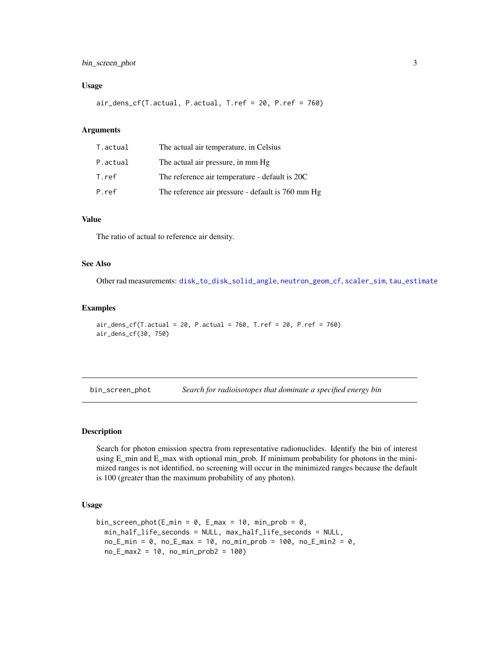## <span id="page-2-0"></span>bin\_screen\_phot 3

#### Usage

air\_dens\_cf(T.actual, P.actual, T.ref = 20, P.ref = 760)

## Arguments

| T.actual | The actual air temperature, in Celsius            |
|----------|---------------------------------------------------|
| P.actual | The actual air pressure, in mm Hg                 |
| T.ref    | The reference air temperature - default is 20C    |
| P.ref    | The reference air pressure - default is 760 mm Hg |

## Value

The ratio of actual to reference air density.

## See Also

Other rad measurements: [disk\\_to\\_disk\\_solid\\_angle](#page-3-1), [neutron\\_geom\\_cf](#page-18-1), [scaler\\_sim](#page-24-1), [tau\\_estimate](#page-30-1)

## Examples

```
air\_dens_c f(T.actual = 20, P.actual = 760, T.ref = 20, P.ref = 760)air_dens_cf(30, 750)
```
<span id="page-2-1"></span>bin\_screen\_phot *Search for radioisotopes that dominate a specified energy bin*

#### Description

Search for photon emission spectra from representative radionuclides. Identify the bin of interest using E\_min and E\_max with optional min\_prob. If minimum probability for photons in the minimized ranges is not identified, no screening will occur in the minimized ranges because the default is 100 (greater than the maximum probability of any photon).

#### Usage

```
bin_screen_phot(E_min = 0, E_max = 10, min_prob = 0,
 min_half_life_seconds = NULL, max_half_life_seconds = NULL,
 no_Emin = 0, no_Emax = 10, no=min\_prob = 100, no_Emin2 = 0,
 no_E_max2 = 10, no(min_prob2 = 100)
```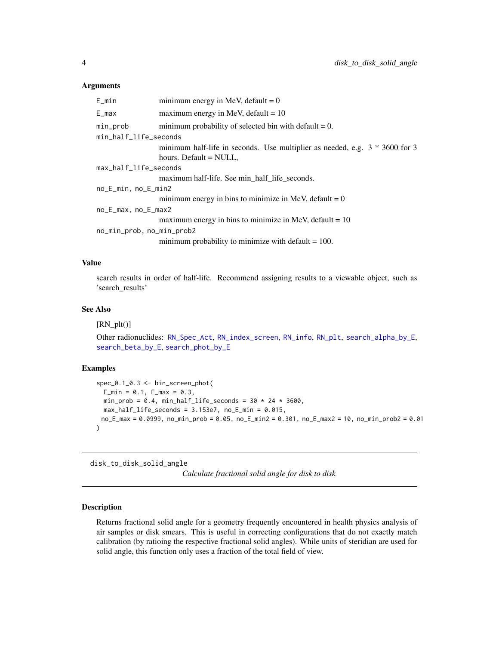#### <span id="page-3-0"></span>Arguments

| E_min                     | minimum energy in MeV, default = $0$                                          |
|---------------------------|-------------------------------------------------------------------------------|
| $E_{max}$                 | maximum energy in MeV, default $= 10$                                         |
| min_prob                  | minimum probability of selected bin with default $= 0$ .                      |
| min_half_life_seconds     |                                                                               |
|                           | minimum half-life in seconds. Use multiplier as needed, e.g. $3 * 3600$ for 3 |
|                           | hours. Default = NULL,                                                        |
| max_half_life_seconds     |                                                                               |
|                           | maximum half-life. See min_half_life_seconds.                                 |
| no_E_min, no_E_min2       |                                                                               |
|                           | minimum energy in bins to minimize in MeV, default = $0$                      |
| no_E_max, no_E_max2       |                                                                               |
|                           | maximum energy in bins to minimize in MeV, default = $10$                     |
| no_min_prob, no_min_prob2 |                                                                               |
|                           | minimum probability to minimize with default $= 100$ .                        |

### Value

search results in order of half-life. Recommend assigning results to a viewable object, such as 'search\_results'

#### See Also

 $[RN<sub>p</sub>]$ 

Other radionuclides: [RN\\_Spec\\_Act](#page-24-2), [RN\\_index\\_screen](#page-21-1), [RN\\_info](#page-22-1), [RN\\_plt](#page-23-1), [search\\_alpha\\_by\\_E](#page-26-1), [search\\_beta\\_by\\_E](#page-27-1), [search\\_phot\\_by\\_E](#page-28-1)

## Examples

```
spec_0.1_0.3 <- bin_screen_phot(
  E_{min} = 0.1, E_{max} = 0.3,
 min_prob = 0.4, min_half_life_seconds = 30 \times 24 \times 3600,
  max\_half\_life\_seconds = 3.153e7, no\_E\_min = 0.015,no_E_max = 0.0999, no_min_prob = 0.05, no_E_min2 = 0.301, no_E_max2 = 10, no_min_prob2 = 0.01
)
```
<span id="page-3-1"></span>disk\_to\_disk\_solid\_angle

*Calculate fractional solid angle for disk to disk*

#### Description

Returns fractional solid angle for a geometry frequently encountered in health physics analysis of air samples or disk smears. This is useful in correcting configurations that do not exactly match calibration (by ratioing the respective fractional solid angles). While units of steridian are used for solid angle, this function only uses a fraction of the total field of view.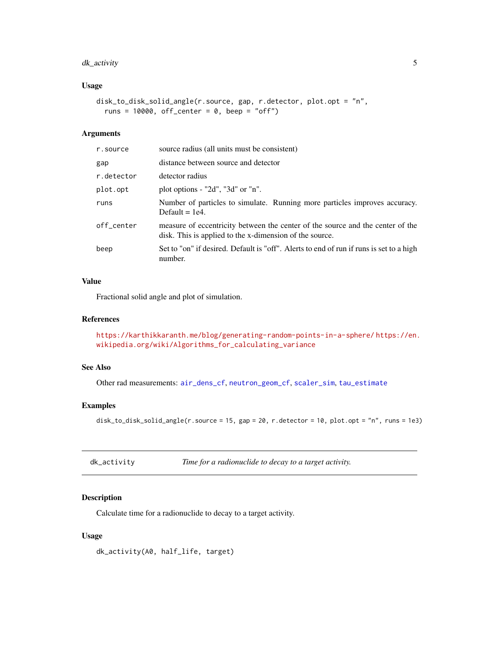## <span id="page-4-0"></span>dk\_activity 5

## Usage

```
disk_to_disk_solid_angle(r.source, gap, r.detector, plot.opt = "n",
  runs = 10000, off_center = 0, beep = "off")
```
## Arguments

| source radius (all units must be consistent)                                                                                              |
|-------------------------------------------------------------------------------------------------------------------------------------------|
| distance between source and detector                                                                                                      |
| detector radius                                                                                                                           |
| plot options - "2d", "3d" or "n".                                                                                                         |
| Number of particles to simulate. Running more particles improves accuracy.<br>Default $= 1e4$ .                                           |
| measure of eccentricity between the center of the source and the center of the<br>disk. This is applied to the x-dimension of the source. |
| Set to "on" if desired. Default is "off". Alerts to end of run if runs is set to a high<br>number.                                        |
|                                                                                                                                           |

## Value

Fractional solid angle and plot of simulation.

## References

<https://karthikkaranth.me/blog/generating-random-points-in-a-sphere/> [https://en.](https://en.wikipedia.org/wiki/Algorithms_for_calculating_variance) [wikipedia.org/wiki/Algorithms\\_for\\_calculating\\_variance](https://en.wikipedia.org/wiki/Algorithms_for_calculating_variance)

## See Also

Other rad measurements: [air\\_dens\\_cf](#page-1-1), [neutron\\_geom\\_cf](#page-18-1), [scaler\\_sim](#page-24-1), [tau\\_estimate](#page-30-1)

## Examples

disk\_to\_disk\_solid\_angle(r.source = 15, gap = 20, r.detector = 10, plot.opt = "n", runs = 1e3)

<span id="page-4-1"></span>

|  | dk_activity | Time for a radionuclide to decay to a target activity. |  |
|--|-------------|--------------------------------------------------------|--|
|--|-------------|--------------------------------------------------------|--|

## Description

Calculate time for a radionuclide to decay to a target activity.

## Usage

dk\_activity(A0, half\_life, target)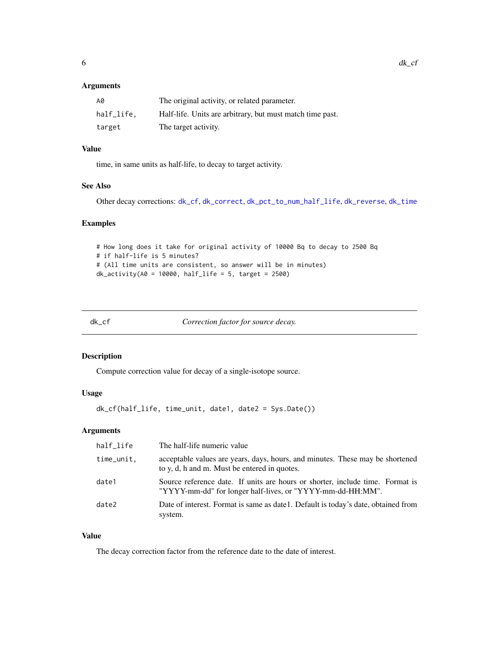## <span id="page-5-0"></span>Arguments

| A0         | The original activity, or related parameter.              |
|------------|-----------------------------------------------------------|
| half_life. | Half-life. Units are arbitrary, but must match time past. |
| target     | The target activity.                                      |

## Value

time, in same units as half-life, to decay to target activity.

## See Also

Other decay corrections: [dk\\_cf](#page-5-1), [dk\\_correct](#page-6-1), [dk\\_pct\\_to\\_num\\_half\\_life](#page-8-1), [dk\\_reverse](#page-9-1), [dk\\_time](#page-10-1)

### Examples

```
# How long does it take for original activity of 10000 Bq to decay to 2500 Bq
# if half-life is 5 minutes?
# (All time units are consistent, so answer will be in minutes)
dk<sub>-activity(A0</sub> = 10000, half<sub>-</sub>life = 5, target = 2500)
```
<span id="page-5-1"></span>

| × |
|---|
|---|

Correction factor for source decay.

## Description

Compute correction value for decay of a single-isotope source.

### Usage

```
dk_cf(half_life, time_unit, date1, date2 = Sys.Date())
```
## Arguments

| half_life  | The half-life numeric value                                                                                                                 |
|------------|---------------------------------------------------------------------------------------------------------------------------------------------|
| time_unit, | acceptable values are years, days, hours, and minutes. These may be shortened<br>to y, d, h and m. Must be entered in quotes.               |
| date1      | Source reference date. If units are hours or shorter, include time. Format is<br>"YYYY-mm-dd" for longer half-lives, or "YYYY-mm-dd-HH:MM". |
| date2      | Date of interest. Format is same as date 1. Default is today's date, obtained from<br>system.                                               |

## Value

The decay correction factor from the reference date to the date of interest.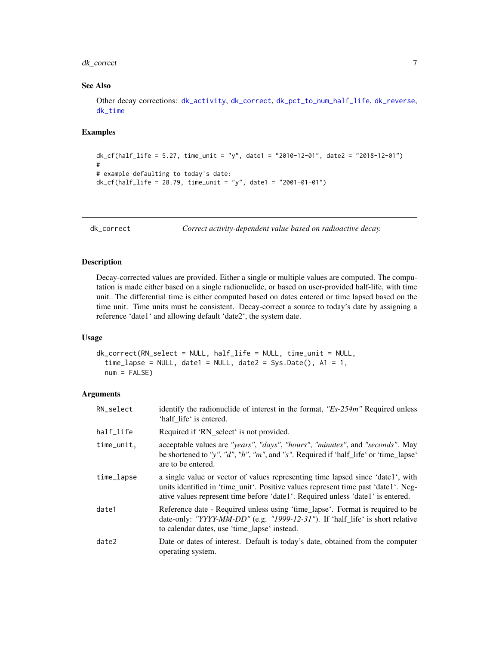## <span id="page-6-0"></span>dk\_correct 7

## See Also

Other decay corrections: [dk\\_activity](#page-4-1), [dk\\_correct](#page-6-1), [dk\\_pct\\_to\\_num\\_half\\_life](#page-8-1), [dk\\_reverse](#page-9-1), [dk\\_time](#page-10-1)

#### Examples

```
dk_cf(half_life = 5.27, time_unit = "y", date1 = "2010-12-01", date2 = "2018-12-01")
#
# example defaulting to today's date:
dk_c f(half_l)ife = 28.79, time_unit = "y", date1 = "2001-01-01")
```
<span id="page-6-1"></span>dk\_correct *Correct activity-dependent value based on radioactive decay.*

### Description

Decay-corrected values are provided. Either a single or multiple values are computed. The computation is made either based on a single radionuclide, or based on user-provided half-life, with time unit. The differential time is either computed based on dates entered or time lapsed based on the time unit. Time units must be consistent. Decay-correct a source to today's date by assigning a reference 'date1' and allowing default 'date2', the system date.

#### Usage

```
dk_correct(RN_select = NULL, half_life = NULL, time_unit = NULL,
  time\_lapse = NULL, date1 = NULL, date2 = Sys.Date(), A1 = 1,
  num = FALSE)
```

| RN_select  | identify the radionuclide of interest in the format, " $Es-254m$ " Required unless<br>'half life' is entered.                                                                                                                                            |
|------------|----------------------------------------------------------------------------------------------------------------------------------------------------------------------------------------------------------------------------------------------------------|
| half_life  | Required if 'RN_select' is not provided.                                                                                                                                                                                                                 |
| time_unit, | acceptable values are "years", "days", "hours", "minutes", and "seconds". May<br>be shortened to "y", "d", "h", "m", and "s". Required if 'half_life' or 'time_lapse'<br>are to be entered.                                                              |
| time_lapse | a single value or vector of values representing time lapsed since 'date1', with<br>units identified in 'time_unit'. Positive values represent time past 'date1'. Neg-<br>ative values represent time before 'date1'. Required unless 'date1' is entered. |
| date1      | Reference date - Required unless using 'time_lapse'. Format is required to be<br>date-only: "YYYY-MM-DD" (e.g. "1999-12-31"). If 'half_life' is short relative<br>to calendar dates, use 'time_lapse' instead.                                           |
| date2      | Date or dates of interest. Default is today's date, obtained from the computer<br>operating system.                                                                                                                                                      |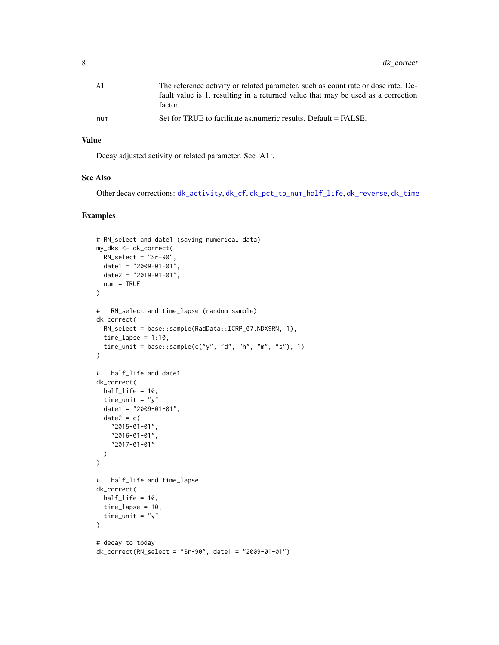<span id="page-7-0"></span>

| A 1 | The reference activity or related parameter, such as count rate or dose rate. De- |
|-----|-----------------------------------------------------------------------------------|
|     | fault value is 1, resulting in a returned value that may be used as a correction  |
|     | factor.                                                                           |
| num | Set for TRUE to facilitate as numeric results. Default = FALSE.                   |
|     |                                                                                   |

## Value

Decay adjusted activity or related parameter. See 'A1'.

#### See Also

Other decay corrections: [dk\\_activity](#page-4-1), [dk\\_cf](#page-5-1), [dk\\_pct\\_to\\_num\\_half\\_life](#page-8-1), [dk\\_reverse](#page-9-1), [dk\\_time](#page-10-1)

```
# RN_select and date1 (saving numerical data)
my_dks <- dk_correct(
 RN_select = "Sr-90",
  date1 = "2009-01-01"date2 = "2019-01-01",num = TRUE
\lambda# RN_select and time_lapse (random sample)
dk_correct(
 RN_select = base::sample(RadData::ICRP_07.NDX$RN, 1),
  time\_lapse = 1:10,
  time_unit = base::sample(c("y", "d", "h", "m", "s"), 1)
\mathcal{L}# half_life and date1
dk_correct(
 half_life = 10,
  time_unit = "y",
  date1 = "2009-01-01",
  date2 = c("2015-01-01",
    "2016-01-01",
    "2017-01-01"
  \mathcal{L}\lambda# half_life and time_lapse
dk_correct(
 half_life = 10,
  time_lapse = 10,
  time_unit = "y"\mathcal{L}# decay to today
dk\_correct(RN\_select = "Sr-90", date1 = "2009-01-01")
```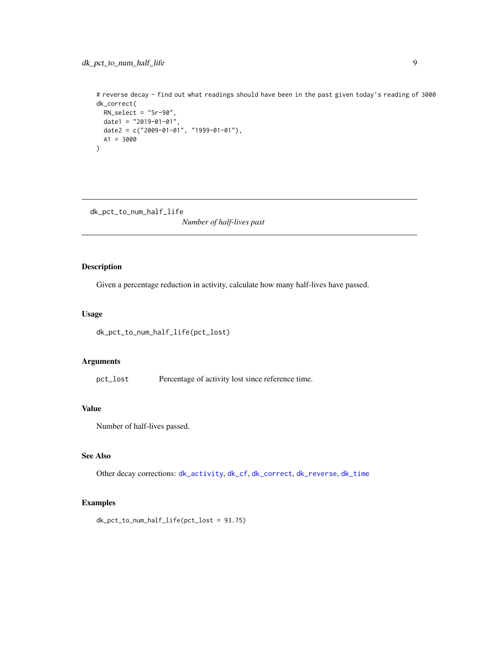<span id="page-8-0"></span># reverse decay - find out what readings should have been in the past given today's reading of 3000 dk\_correct( RN\_select = "Sr-90", date1 =  $"2019-01-01",$ date2 =  $c("2009-01-01", "1999-01-01"),$ A1 = 3000 )

<span id="page-8-1"></span>dk\_pct\_to\_num\_half\_life

*Number of half-lives past*

## Description

Given a percentage reduction in activity, calculate how many half-lives have passed.

## Usage

```
dk_pct_to_num_half_life(pct_lost)
```
#### Arguments

pct\_lost Percentage of activity lost since reference time.

## Value

Number of half-lives passed.

## See Also

Other decay corrections: [dk\\_activity](#page-4-1), [dk\\_cf](#page-5-1), [dk\\_correct](#page-6-1), [dk\\_reverse](#page-9-1), [dk\\_time](#page-10-1)

## Examples

dk\_pct\_to\_num\_half\_life(pct\_lost = 93.75)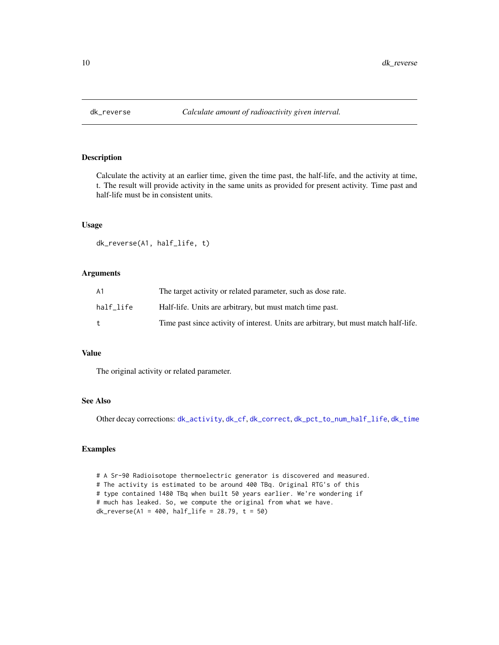<span id="page-9-1"></span><span id="page-9-0"></span>

## Description

Calculate the activity at an earlier time, given the time past, the half-life, and the activity at time, t. The result will provide activity in the same units as provided for present activity. Time past and half-life must be in consistent units.

#### Usage

dk\_reverse(A1, half\_life, t)

## Arguments

| А1        | The target activity or related parameter, such as dose rate.                         |
|-----------|--------------------------------------------------------------------------------------|
| half life | Half-life. Units are arbitrary, but must match time past.                            |
|           | Time past since activity of interest. Units are arbitrary, but must match half-life. |

#### Value

The original activity or related parameter.

## See Also

Other decay corrections: [dk\\_activity](#page-4-1), [dk\\_cf](#page-5-1), [dk\\_correct](#page-6-1), [dk\\_pct\\_to\\_num\\_half\\_life](#page-8-1), [dk\\_time](#page-10-1)

```
# A Sr-90 Radioisotope thermoelectric generator is discovered and measured.
# The activity is estimated to be around 400 TBq. Original RTG's of this
# type contained 1480 TBq when built 50 years earlier. We're wondering if
# much has leaked. So, we compute the original from what we have.
dk\_reverse(A1 = 400, half\_life = 28.79, t = 50)
```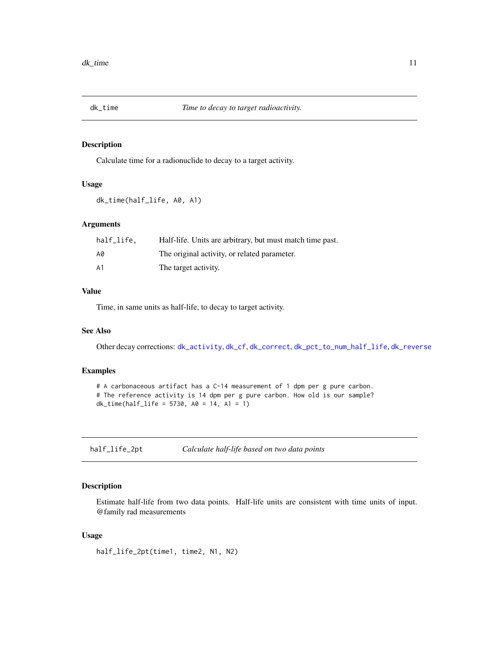<span id="page-10-1"></span><span id="page-10-0"></span>

## Description

Calculate time for a radionuclide to decay to a target activity.

#### Usage

```
dk_time(half_life, A0, A1)
```
## Arguments

| half_life. | Half-life. Units are arbitrary, but must match time past. |
|------------|-----------------------------------------------------------|
| A0         | The original activity, or related parameter.              |
| A1         | The target activity.                                      |

## Value

Time, in same units as half-life, to decay to target activity.

## See Also

Other decay corrections: [dk\\_activity](#page-4-1), [dk\\_cf](#page-5-1), [dk\\_correct](#page-6-1), [dk\\_pct\\_to\\_num\\_half\\_life](#page-8-1), [dk\\_reverse](#page-9-1)

#### Examples

```
# A carbonaceous artifact has a C-14 measurement of 1 dpm per g pure carbon.
# The reference activity is 14 dpm per g pure carbon. How old is our sample?
dk_time(half_life = 5730, A0 = 14, A1 = 1)
```
half\_life\_2pt *Calculate half-life based on two data points*

## Description

Estimate half-life from two data points. Half-life units are consistent with time units of input. @family rad measurements

#### Usage

half\_life\_2pt(time1, time2, N1, N2)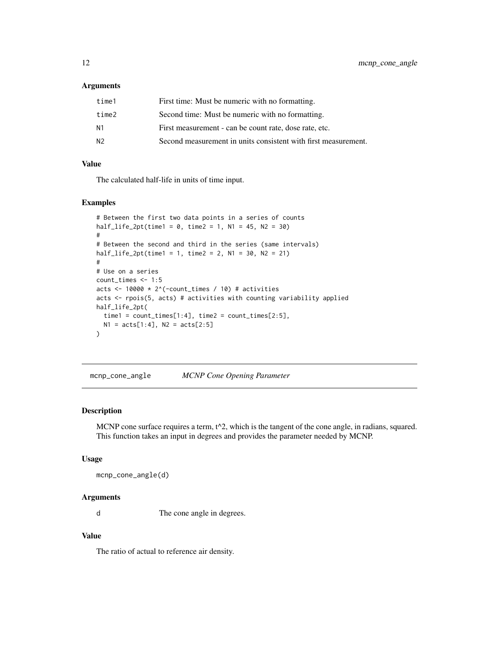#### <span id="page-11-0"></span>Arguments

| time1          | First time: Must be numeric with no formatting.                |
|----------------|----------------------------------------------------------------|
| time2          | Second time: Must be numeric with no formatting.               |
| N <sub>1</sub> | First measurement - can be count rate, dose rate, etc.         |
| N <sub>2</sub> | Second measurement in units consistent with first measurement. |

## Value

The calculated half-life in units of time input.

#### Examples

```
# Between the first two data points in a series of counts
half\_life\_2pt(time1 = 0, time2 = 1, N1 = 45, N2 = 30)#
# Between the second and third in the series (same intervals)
half\_life\_2pt(time1 = 1, time2 = 2, N1 = 30, N2 = 21)#
# Use on a series
count_times <- 1:5
acts <- 10000 * 2^(-count_times / 10) # activities
acts <- rpois(5, acts) # activities with counting variability applied
half_life_2pt(
  time1 = count_time[1:4], time2 = count_time[2:5],N1 = \text{acts}[1:4], N2 = \text{acts}[2:5])
```
<span id="page-11-1"></span>mcnp\_cone\_angle *MCNP Cone Opening Parameter*

#### Description

MCNP cone surface requires a term,  $t^2$ , which is the tangent of the cone angle, in radians, squared. This function takes an input in degrees and provides the parameter needed by MCNP.

#### Usage

```
mcnp_cone_angle(d)
```
## Arguments

d The cone angle in degrees.

## Value

The ratio of actual to reference air density.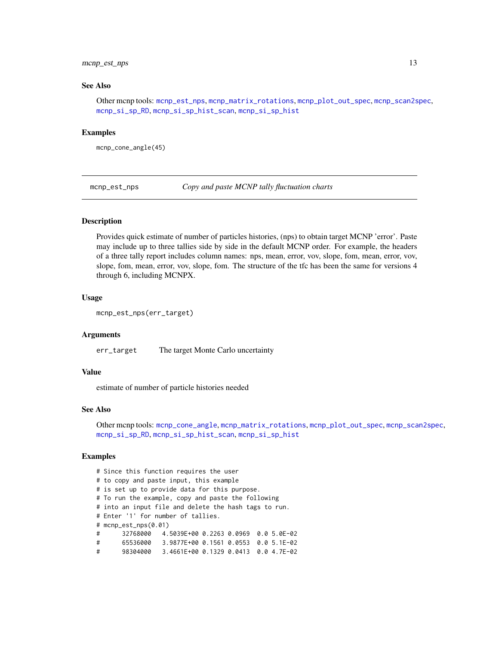## <span id="page-12-0"></span>mcnp\_est\_nps 13

#### See Also

Other mcnp tools: [mcnp\\_est\\_nps](#page-12-1), [mcnp\\_matrix\\_rotations](#page-13-1), [mcnp\\_plot\\_out\\_spec](#page-14-1), [mcnp\\_scan2spec](#page-14-2), [mcnp\\_si\\_sp\\_RD](#page-17-1), [mcnp\\_si\\_sp\\_hist\\_scan](#page-16-1), [mcnp\\_si\\_sp\\_hist](#page-15-1)

#### Examples

mcnp\_cone\_angle(45)

<span id="page-12-1"></span>mcnp\_est\_nps *Copy and paste MCNP tally fluctuation charts*

#### Description

Provides quick estimate of number of particles histories, (nps) to obtain target MCNP 'error'. Paste may include up to three tallies side by side in the default MCNP order. For example, the headers of a three tally report includes column names: nps, mean, error, vov, slope, fom, mean, error, vov, slope, fom, mean, error, vov, slope, fom. The structure of the tfc has been the same for versions 4 through 6, including MCNPX.

#### Usage

```
mcnp_est_nps(err_target)
```
#### Arguments

err\_target The target Monte Carlo uncertainty

## Value

estimate of number of particle histories needed

#### See Also

Other mcnp tools: [mcnp\\_cone\\_angle](#page-11-1), [mcnp\\_matrix\\_rotations](#page-13-1), [mcnp\\_plot\\_out\\_spec](#page-14-1), [mcnp\\_scan2spec](#page-14-2), [mcnp\\_si\\_sp\\_RD](#page-17-1), [mcnp\\_si\\_sp\\_hist\\_scan](#page-16-1), [mcnp\\_si\\_sp\\_hist](#page-15-1)

```
# Since this function requires the user
# to copy and paste input, this example
# is set up to provide data for this purpose.
# To run the example, copy and paste the following
# into an input file and delete the hash tags to run.
# Enter '1' for number of tallies.
# mcnp_est_nps(0.01)
# 32768000 4.5039E+00 0.2263 0.0969 0.0 5.0E-02
# 65536000 3.9877E+00 0.1561 0.0553 0.0 5.1E-02
# 98304000 3.4661E+00 0.1329 0.0413 0.0 4.7E-02
```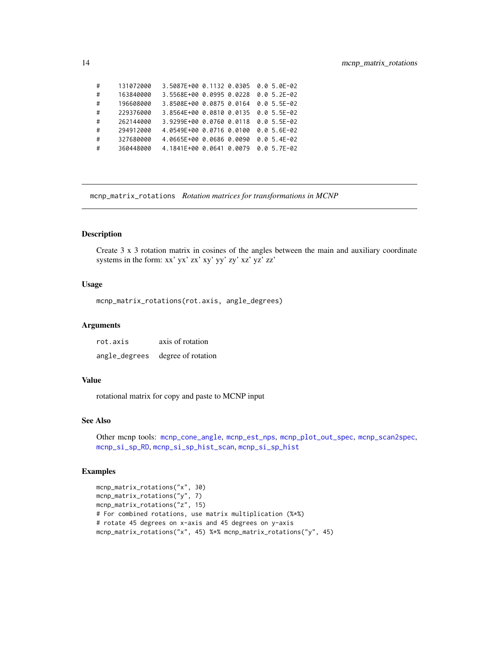| # | 131072000 | 3.5087E+00 0.1132 0.0305 |  | $0.05.0E - 02$ |
|---|-----------|--------------------------|--|----------------|
| # | 163840000 | 3.5568E+00 0.0995 0.0228 |  | $0.05.2E-02$   |
| # | 196608000 | 3.8508E+00 0.0875 0.0164 |  | $0.05.5E-02$   |
| # | 229376000 | 3.8564E+00 0.0810 0.0135 |  | $0.05.5E-02$   |
| # | 262144000 | 3.9299E+00 0.0760 0.0118 |  | $0.05.5E-02$   |
| # | 294912000 | 4.0549E+00 0.0716 0.0100 |  | $0.05.6E-02$   |
| # | 327680000 | 4.0665E+00 0.0686 0.0090 |  | $0.05.4E-02$   |
| # | 360448000 | 4.1841E+00 0.0641 0.0079 |  | $0.05.7E-02$   |
|   |           |                          |  |                |

<span id="page-13-1"></span>mcnp\_matrix\_rotations *Rotation matrices for transformations in MCNP*

## Description

Create 3 x 3 rotation matrix in cosines of the angles between the main and auxiliary coordinate systems in the form: xx' yx' zx' xy' yy' zy' xz' yz' zz'

## Usage

mcnp\_matrix\_rotations(rot.axis, angle\_degrees)

## Arguments

| rot.axis      | axis of rotation   |  |  |
|---------------|--------------------|--|--|
| angle_degrees | degree of rotation |  |  |

#### Value

rotational matrix for copy and paste to MCNP input

#### See Also

```
Other mcnp tools: mcnp_cone_angle, mcnp_est_nps, mcnp_plot_out_spec, mcnp_scan2spec,
mcnp_si_sp_RD, mcnp_si_sp_hist_scan, mcnp_si_sp_hist
```

```
mcnp_matrix_rotations("x", 30)
mcnp_matrix_rotations("y", 7)
mcnp_matrix_rotations("z", 15)
# For combined rotations, use matrix multiplication (%*%)
# rotate 45 degrees on x-axis and 45 degrees on y-axis
mcnp_matrix_rotations("x", 45) %*% mcnp_matrix_rotations("y", 45)
```
<span id="page-13-0"></span>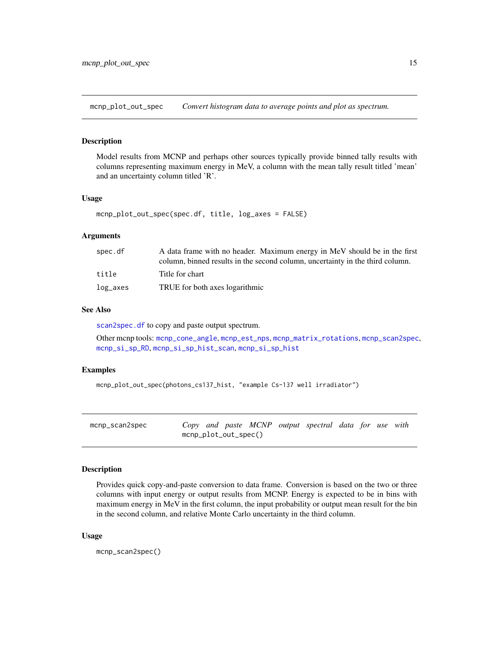<span id="page-14-1"></span><span id="page-14-0"></span>mcnp\_plot\_out\_spec *Convert histogram data to average points and plot as spectrum.*

#### Description

Model results from MCNP and perhaps other sources typically provide binned tally results with columns representing maximum energy in MeV, a column with the mean tally result titled 'mean' and an uncertainty column titled 'R'.

#### Usage

```
mcnp_plot_out_spec(spec.df, title, log_axes = FALSE)
```
#### Arguments

| spec.df     | A data frame with no header. Maximum energy in MeV should be in the first<br>column, binned results in the second column, uncertainty in the third column. |
|-------------|------------------------------------------------------------------------------------------------------------------------------------------------------------|
|             |                                                                                                                                                            |
| title       | Title for chart                                                                                                                                            |
| $log\_axes$ | TRUE for both axes logarithmic                                                                                                                             |

#### See Also

[scan2spec.df](#page-25-1) to copy and paste output spectrum.

Other mcnp tools: [mcnp\\_cone\\_angle](#page-11-1), [mcnp\\_est\\_nps](#page-12-1), [mcnp\\_matrix\\_rotations](#page-13-1), [mcnp\\_scan2spec](#page-14-2), [mcnp\\_si\\_sp\\_RD](#page-17-1), [mcnp\\_si\\_sp\\_hist\\_scan](#page-16-1), [mcnp\\_si\\_sp\\_hist](#page-15-1)

#### Examples

```
mcnp_plot_out_spec(photons_cs137_hist, "example Cs-137 well irradiator")
```
<span id="page-14-2"></span>

| mcnp_scan2spec |                         |  |  | Copy and paste MCNP output spectral data for use with |  |  |
|----------------|-------------------------|--|--|-------------------------------------------------------|--|--|
|                | $m$ cnp_plot_out_spec() |  |  |                                                       |  |  |

## Description

Provides quick copy-and-paste conversion to data frame. Conversion is based on the two or three columns with input energy or output results from MCNP. Energy is expected to be in bins with maximum energy in MeV in the first column, the input probability or output mean result for the bin in the second column, and relative Monte Carlo uncertainty in the third column.

#### Usage

mcnp\_scan2spec()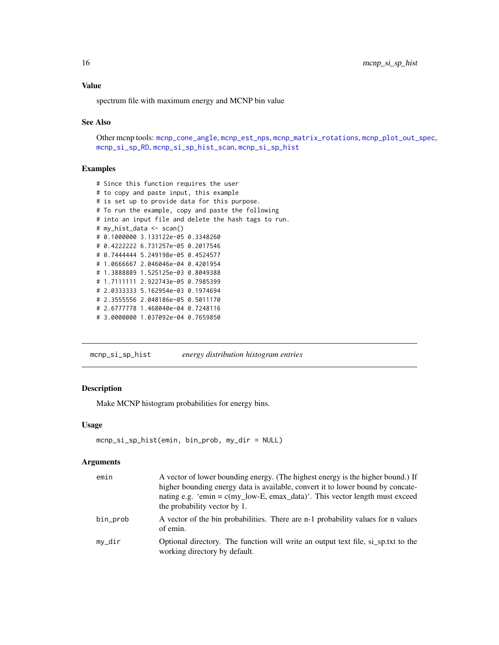#### <span id="page-15-0"></span>Value

spectrum file with maximum energy and MCNP bin value

#### See Also

Other mcnp tools: [mcnp\\_cone\\_angle](#page-11-1), [mcnp\\_est\\_nps](#page-12-1), [mcnp\\_matrix\\_rotations](#page-13-1), [mcnp\\_plot\\_out\\_spec](#page-14-1), [mcnp\\_si\\_sp\\_RD](#page-17-1), [mcnp\\_si\\_sp\\_hist\\_scan](#page-16-1), [mcnp\\_si\\_sp\\_hist](#page-15-1)

#### Examples

```
# Since this function requires the user
# to copy and paste input, this example
# is set up to provide data for this purpose.
# To run the example, copy and paste the following
# into an input file and delete the hash tags to run.
# my_hist_data <- scan()
# 0.1000000 3.133122e-05 0.3348260
# 0.4222222 6.731257e-05 0.2017546
# 0.7444444 5.249198e-05 0.4524577
# 1.0666667 2.046046e-04 0.4201954
# 1.3888889 1.525125e-03 0.8049388
# 1.7111111 2.922743e-05 0.7985399
# 2.0333333 5.162954e-03 0.1974694
# 2.3555556 2.048186e-05 0.5011170
# 2.6777778 1.468040e-04 0.7248116
# 3.0000000 1.037092e-04 0.7659850
```
<span id="page-15-1"></span>mcnp\_si\_sp\_hist *energy distribution histogram entries*

#### Description

Make MCNP histogram probabilities for energy bins.

#### Usage

```
mcnp_si_sp_hist(emin, bin_prob, my_dir = NULL)
```

| emin     | A vector of lower bounding energy. (The highest energy is the higher bound.) If<br>higher bounding energy data is available, convert it to lower bound by concate-<br>nating e.g. 'emin = $c(my_low-E, emax_lata)'$ . This vector length must exceed<br>the probability vector by 1. |
|----------|--------------------------------------------------------------------------------------------------------------------------------------------------------------------------------------------------------------------------------------------------------------------------------------|
| bin_prob | A vector of the bin probabilities. There are n-1 probability values for n values<br>of emin.                                                                                                                                                                                         |
| mv_dir   | Optional directory. The function will write an output text file, si sp.txt to the<br>working directory by default.                                                                                                                                                                   |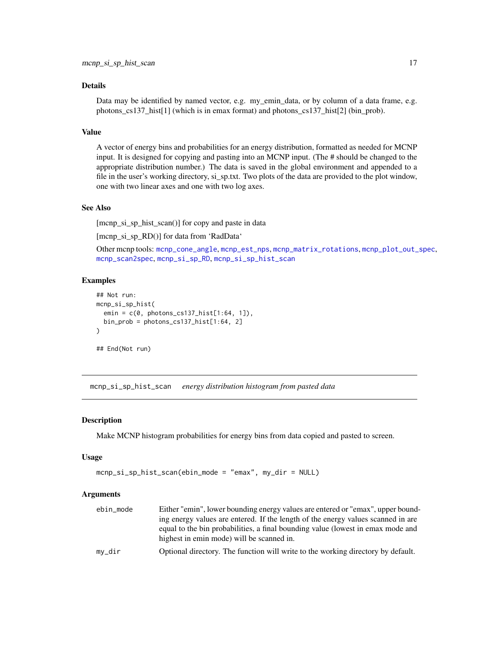## <span id="page-16-0"></span>Details

Data may be identified by named vector, e.g. my\_emin\_data, or by column of a data frame, e.g. photons\_cs137\_hist[1] (which is in emax format) and photons\_cs137\_hist[2] (bin\_prob).

#### Value

A vector of energy bins and probabilities for an energy distribution, formatted as needed for MCNP input. It is designed for copying and pasting into an MCNP input. (The # should be changed to the appropriate distribution number.) The data is saved in the global environment and appended to a file in the user's working directory, si\_sp.txt. Two plots of the data are provided to the plot window, one with two linear axes and one with two log axes.

#### See Also

[mcnp\_si\_sp\_hist\_scan()] for copy and paste in data

[mcnp\_si\_sp\_RD()] for data from 'RadData'

Other mcnp tools: [mcnp\\_cone\\_angle](#page-11-1), [mcnp\\_est\\_nps](#page-12-1), [mcnp\\_matrix\\_rotations](#page-13-1), [mcnp\\_plot\\_out\\_spec](#page-14-1), [mcnp\\_scan2spec](#page-14-2), [mcnp\\_si\\_sp\\_RD](#page-17-1), [mcnp\\_si\\_sp\\_hist\\_scan](#page-16-1)

## Examples

```
## Not run:
mcnp_si_sp_hist(
  emin = c(0, photons_cs137_hist[1:64, 1]),
  bin_prob = photons_cs137_hist[1:64, 2]
\lambda## End(Not run)
```
<span id="page-16-1"></span>mcnp\_si\_sp\_hist\_scan *energy distribution histogram from pasted data*

#### **Description**

Make MCNP histogram probabilities for energy bins from data copied and pasted to screen.

#### Usage

```
mcnp_si_sp_hist_scan(ebin_mode = "emax", my_dir = NULL)
```

| ebin mode | Either "emin", lower bounding energy values are entered or "emax", upper bound-  |
|-----------|----------------------------------------------------------------------------------|
|           | ing energy values are entered. If the length of the energy values scanned in are |
|           | equal to the bin probabilities, a final bounding value (lowest in emax mode and  |
|           | highest in emin mode) will be scanned in.                                        |
| mv_dir    | Optional directory. The function will write to the working directory by default. |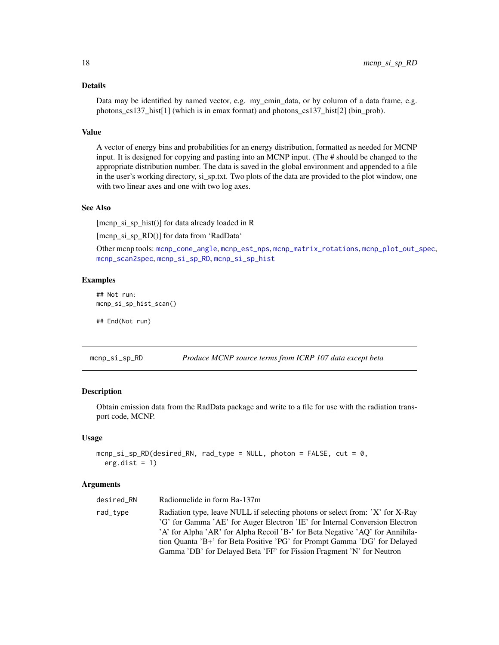## <span id="page-17-0"></span>Details

Data may be identified by named vector, e.g. my\_emin\_data, or by column of a data frame, e.g. photons\_cs137\_hist[1] (which is in emax format) and photons\_cs137\_hist[2] (bin\_prob).

## Value

A vector of energy bins and probabilities for an energy distribution, formatted as needed for MCNP input. It is designed for copying and pasting into an MCNP input. (The # should be changed to the appropriate distribution number. The data is saved in the global environment and appended to a file in the user's working directory, si\_sp.txt. Two plots of the data are provided to the plot window, one with two linear axes and one with two log axes.

#### See Also

[mcnp\_si\_sp\_hist()] for data already loaded in R

[mcnp\_si\_sp\_RD()] for data from 'RadData'

Other mcnp tools: [mcnp\\_cone\\_angle](#page-11-1), [mcnp\\_est\\_nps](#page-12-1), [mcnp\\_matrix\\_rotations](#page-13-1), [mcnp\\_plot\\_out\\_spec](#page-14-1), [mcnp\\_scan2spec](#page-14-2), [mcnp\\_si\\_sp\\_RD](#page-17-1), [mcnp\\_si\\_sp\\_hist](#page-15-1)

#### Examples

```
## Not run:
mcnp_si_sp_hist_scan()
```
## End(Not run)

<span id="page-17-1"></span>mcnp\_si\_sp\_RD *Produce MCNP source terms from ICRP 107 data except beta*

#### **Description**

Obtain emission data from the RadData package and write to a file for use with the radiation transport code, MCNP.

#### Usage

```
mcnp_si_sp_RD(desired_RN, rad_type = NULL, photon = FALSE, cut = 0,
 erg.dist = 1)
```

| desired RN | Radionuclide in form Ba-137m                                                                                                                                 |
|------------|--------------------------------------------------------------------------------------------------------------------------------------------------------------|
| rad_type   | Radiation type, leave NULL if selecting photons or select from: 'X' for X-Ray<br>'G' for Gamma 'AE' for Auger Electron 'IE' for Internal Conversion Electron |
|            | 'A' for Alpha 'AR' for Alpha Recoil 'B-' for Beta Negative 'AQ' for Annihila-                                                                                |
|            | tion Quanta 'B+' for Beta Positive 'PG' for Prompt Gamma 'DG' for Delayed                                                                                    |
|            | Gamma 'DB' for Delayed Beta 'FF' for Fission Fragment 'N' for Neutron                                                                                        |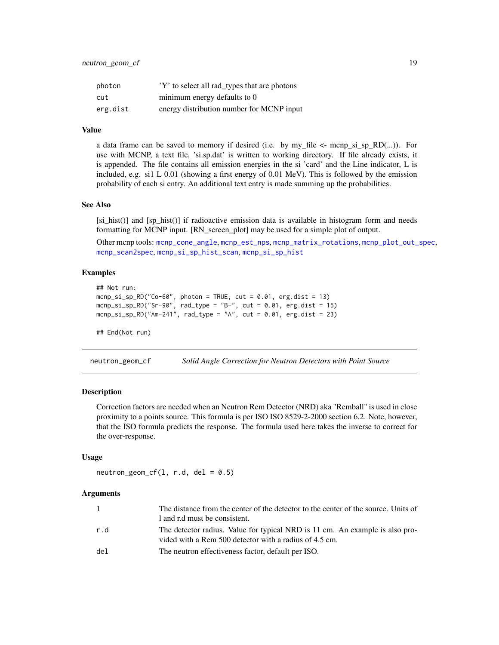<span id="page-18-0"></span>

| photon   | 'Y' to select all rad_types that are photons |
|----------|----------------------------------------------|
| cut      | minimum energy defaults to 0                 |
| erg.dist | energy distribution number for MCNP input    |

## Value

a data frame can be saved to memory if desired (i.e. by my\_file  $\leq$ - mcnp\_si\_sp\_RD(...)). For use with MCNP, a text file, 'si.sp.dat' is written to working directory. If file already exists, it is appended. The file contains all emission energies in the si 'card' and the Line indicator, L is included, e.g. si1 L 0.01 (showing a first energy of 0.01 MeV). This is followed by the emission probability of each si entry. An additional text entry is made summing up the probabilities.

#### See Also

 $[si_h]$  hist()] and  $[sp_h]$  hist()] if radioactive emission data is available in histogram form and needs formatting for MCNP input. [RN\_screen\_plot] may be used for a simple plot of output.

Other mcnp tools: [mcnp\\_cone\\_angle](#page-11-1), [mcnp\\_est\\_nps](#page-12-1), [mcnp\\_matrix\\_rotations](#page-13-1), [mcnp\\_plot\\_out\\_spec](#page-14-1), [mcnp\\_scan2spec](#page-14-2), [mcnp\\_si\\_sp\\_hist\\_scan](#page-16-1), [mcnp\\_si\\_sp\\_hist](#page-15-1)

### Examples

```
## Not run:
mcmp_s_i_sp_RD("Co-60", photon = TRUE, cut = 0.01, erg.dist = 13)mcmp_isi_sp_RD("Sr-90", rad_type = "B-", cut = 0.01, erg.dist = 15)mcmp_s_i_sp_RD("Am-241", rad_type = "A", cut = 0.01, erg.dist = 23)
```

```
## End(Not run)
```
<span id="page-18-1"></span>neutron\_geom\_cf *Solid Angle Correction for Neutron Detectors with Point Source*

#### **Description**

Correction factors are needed when an Neutron Rem Detector (NRD) aka "Remball" is used in close proximity to a points source. This formula is per ISO ISO 8529-2-2000 section 6.2. Note, however, that the ISO formula predicts the response. The formula used here takes the inverse to correct for the over-response.

#### Usage

 $neutron\_geom_c f(1, r.d, del = 0.5)$ 

|     | The distance from the center of the detector to the center of the source. Units of                                                     |
|-----|----------------------------------------------------------------------------------------------------------------------------------------|
|     | 1 and r.d must be consistent.                                                                                                          |
| r.d | The detector radius. Value for typical NRD is 11 cm. An example is also pro-<br>vided with a Rem 500 detector with a radius of 4.5 cm. |
| del | The neutron effectiveness factor, default per ISO.                                                                                     |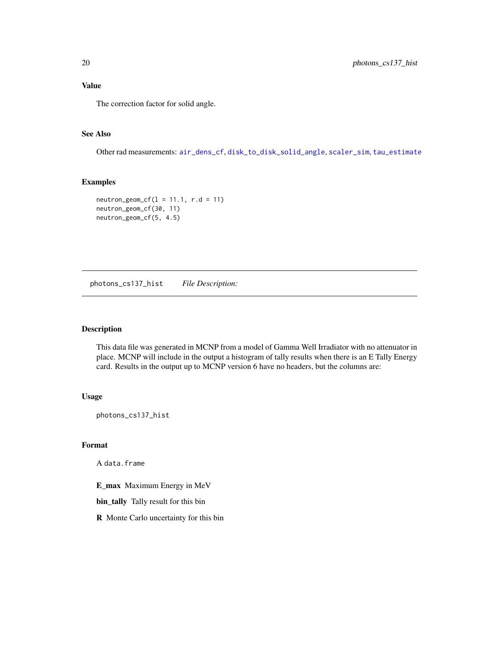<span id="page-19-0"></span>The correction factor for solid angle.

## See Also

Other rad measurements: [air\\_dens\\_cf](#page-1-1), [disk\\_to\\_disk\\_solid\\_angle](#page-3-1), [scaler\\_sim](#page-24-1), [tau\\_estimate](#page-30-1)

#### Examples

```
neutron\_geom_c f(1 = 11.1, r.d = 11)neutron_geom_cf(30, 11)
neutron_geom_cf(5, 4.5)
```
photons\_cs137\_hist *File Description:*

#### Description

This data file was generated in MCNP from a model of Gamma Well Irradiator with no attenuator in place. MCNP will include in the output a histogram of tally results when there is an E Tally Energy card. Results in the output up to MCNP version 6 have no headers, but the columns are:

#### Usage

photons\_cs137\_hist

#### Format

A data.frame

E\_max Maximum Energy in MeV

bin\_tally Tally result for this bin

R Monte Carlo uncertainty for this bin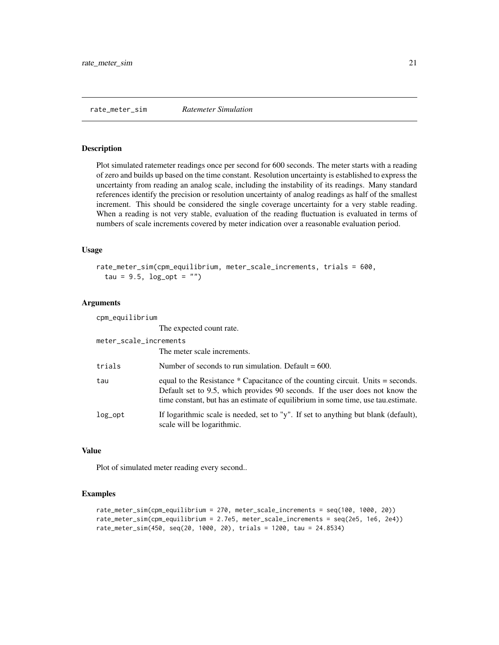#### <span id="page-20-0"></span>Description

Plot simulated ratemeter readings once per second for 600 seconds. The meter starts with a reading of zero and builds up based on the time constant. Resolution uncertainty is established to express the uncertainty from reading an analog scale, including the instability of its readings. Many standard references identify the precision or resolution uncertainty of analog readings as half of the smallest increment. This should be considered the single coverage uncertainty for a very stable reading. When a reading is not very stable, evaluation of the reading fluctuation is evaluated in terms of numbers of scale increments covered by meter indication over a reasonable evaluation period.

## Usage

```
rate_meter_sim(cpm_equilibrium, meter_scale_increments, trials = 600,
  tau = 9.5, log\_opt = "")
```
#### Arguments

| cpm_equilibrium        |                                                                                                                                                                                                                                                      |
|------------------------|------------------------------------------------------------------------------------------------------------------------------------------------------------------------------------------------------------------------------------------------------|
|                        | The expected count rate.                                                                                                                                                                                                                             |
| meter_scale_increments |                                                                                                                                                                                                                                                      |
|                        | The meter scale increments.                                                                                                                                                                                                                          |
| trials                 | Number of seconds to run simulation. Default $= 600$ .                                                                                                                                                                                               |
| tau                    | equal to the Resistance * Capacitance of the counting circuit. Units = seconds.<br>Default set to 9.5, which provides 90 seconds. If the user does not know the<br>time constant, but has an estimate of equilibrium in some time, use tau estimate. |
| $log\_opt$             | If logarithmic scale is needed, set to "y". If set to anything but blank (default),<br>scale will be logarithmic.                                                                                                                                    |

#### Value

Plot of simulated meter reading every second..

```
rate_meter_sim(cpm_equilibrium = 270, meter_scale_increments = seq(100, 1000, 20))
rate_meter_sim(cpm_equilibrium = 2.7e5, meter_scale_increments = seq(2e5, 1e6, 2e4))
rate_meter_sim(450, seq(20, 1000, 20), trials = 1200, tau = 24.8534)
```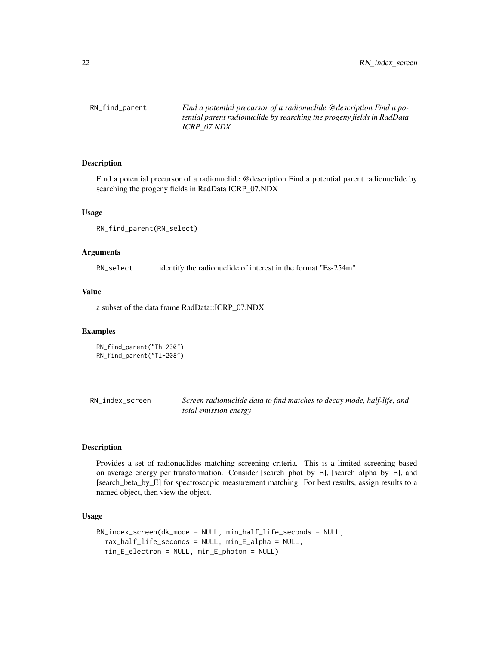<span id="page-21-0"></span>RN\_find\_parent *Find a potential precursor of a radionuclide @description Find a potential parent radionuclide by searching the progeny fields in RadData ICRP\_07.NDX*

#### Description

Find a potential precursor of a radionuclide @description Find a potential parent radionuclide by searching the progeny fields in RadData ICRP\_07.NDX

#### Usage

```
RN_find_parent(RN_select)
```
#### **Arguments**

RN\_select identify the radionuclide of interest in the format "Es-254m"

## Value

a subset of the data frame RadData::ICRP\_07.NDX

## Examples

```
RN_find_parent("Th-230")
RN_find_parent("Tl-208")
```
<span id="page-21-1"></span>RN\_index\_screen *Screen radionuclide data to find matches to decay mode, half-life, and total emission energy*

#### Description

Provides a set of radionuclides matching screening criteria. This is a limited screening based on average energy per transformation. Consider [search\_phot\_by\_E], [search\_alpha\_by\_E], and [search\_beta\_by\_E] for spectroscopic measurement matching. For best results, assign results to a named object, then view the object.

#### Usage

```
RN_index_screen(dk_mode = NULL, min_half_life_seconds = NULL,
 max_half_life_seconds = NULL, min_E_alpha = NULL,
 min_E_electron = NULL, min_E_photon = NULL)
```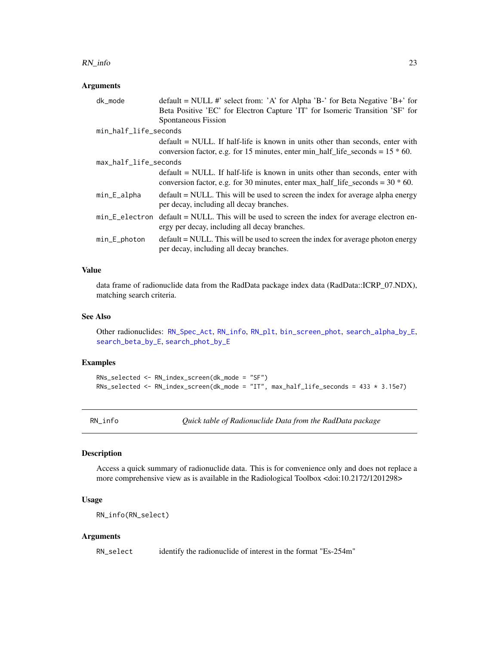#### <span id="page-22-0"></span>RN\_info 23

## Arguments

| dk mode               | $default = NULL$ #' select from: 'A' for Alpha 'B-' for Beta Negative 'B+' for                                                                                        |
|-----------------------|-----------------------------------------------------------------------------------------------------------------------------------------------------------------------|
|                       | Beta Positive 'EC' for Electron Capture 'IT' for Isomeric Transition 'SF' for                                                                                         |
|                       | Spontaneous Fission                                                                                                                                                   |
| min_half_life_seconds |                                                                                                                                                                       |
|                       | default = NULL. If half-life is known in units other than seconds, enter with                                                                                         |
|                       | conversion factor, e.g. for 15 minutes, enter min_half_life_seconds = $15 * 60$ .                                                                                     |
| max_half_life_seconds |                                                                                                                                                                       |
|                       | $default = NULL$ . If half-life is known in units other than seconds, enter with<br>conversion factor, e.g. for 30 minutes, enter max_half_life_seconds = $30 * 60$ . |
| min_E_alpha           | $default = NULL$ . This will be used to screen the index for average alpha energy<br>per decay, including all decay branches.                                         |
|                       | min_E_electron default = NULL. This will be used to screen the index for average electron en-<br>ergy per decay, including all decay branches.                        |
| min_E_photon          | $default = NULL$ . This will be used to screen the index for average photon energy<br>per decay, including all decay branches.                                        |

#### Value

data frame of radionuclide data from the RadData package index data (RadData::ICRP\_07.NDX), matching search criteria.

## See Also

Other radionuclides: [RN\\_Spec\\_Act](#page-24-2), [RN\\_info](#page-22-1), [RN\\_plt](#page-23-1), [bin\\_screen\\_phot](#page-2-1), [search\\_alpha\\_by\\_E](#page-26-1), [search\\_beta\\_by\\_E](#page-27-1), [search\\_phot\\_by\\_E](#page-28-1)

## Examples

```
RNs_selected <- RN_index_screen(dk_mode = "SF")
RNs_selected <- RN_index_screen(dk_mode = "IT", max_half_life_seconds = 433 * 3.15e7)
```
<span id="page-22-1"></span>RN\_info *Quick table of Radionuclide Data from the RadData package*

#### Description

Access a quick summary of radionuclide data. This is for convenience only and does not replace a more comprehensive view as is available in the Radiological Toolbox <doi:10.2172/1201298>

#### Usage

RN\_info(RN\_select)

#### Arguments

RN\_select identify the radionuclide of interest in the format "Es-254m"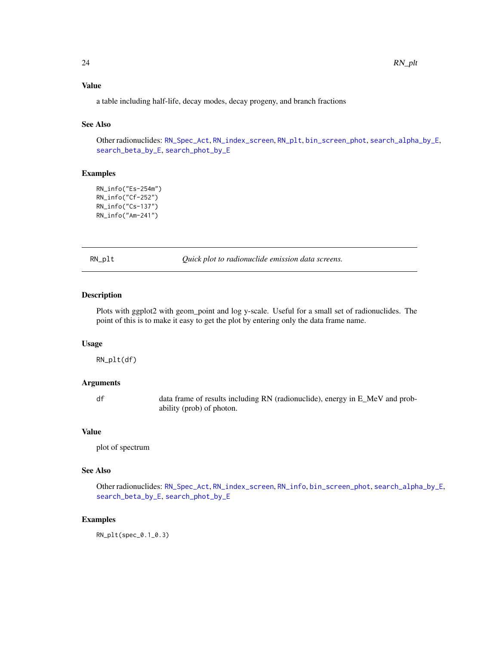## <span id="page-23-0"></span>Value

a table including half-life, decay modes, decay progeny, and branch fractions

#### See Also

Other radionuclides: [RN\\_Spec\\_Act](#page-24-2), [RN\\_index\\_screen](#page-21-1), [RN\\_plt](#page-23-1), [bin\\_screen\\_phot](#page-2-1), [search\\_alpha\\_by\\_E](#page-26-1), [search\\_beta\\_by\\_E](#page-27-1), [search\\_phot\\_by\\_E](#page-28-1)

#### Examples

```
RN_info("Es-254m")
RN_info("Cf-252")
RN_info("Cs-137")
RN_info("Am-241")
```
<span id="page-23-1"></span>RN\_plt *Quick plot to radionuclide emission data screens.*

## Description

Plots with ggplot2 with geom\_point and log y-scale. Useful for a small set of radionuclides. The point of this is to make it easy to get the plot by entering only the data frame name.

#### Usage

RN\_plt(df)

#### Arguments

df data frame of results including RN (radionuclide), energy in E\_MeV and probability (prob) of photon.

#### Value

plot of spectrum

## See Also

Other radionuclides: [RN\\_Spec\\_Act](#page-24-2), [RN\\_index\\_screen](#page-21-1), [RN\\_info](#page-22-1), [bin\\_screen\\_phot](#page-2-1), [search\\_alpha\\_by\\_E](#page-26-1), [search\\_beta\\_by\\_E](#page-27-1), [search\\_phot\\_by\\_E](#page-28-1)

## Examples

RN\_plt(spec\_0.1\_0.3)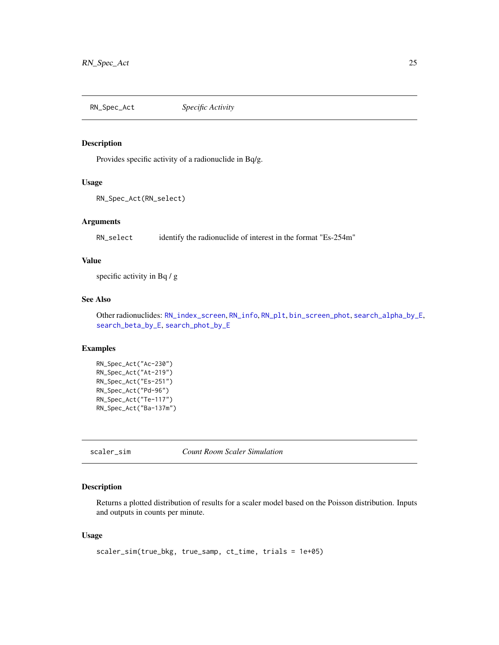<span id="page-24-2"></span><span id="page-24-0"></span>RN\_Spec\_Act *Specific Activity*

## Description

Provides specific activity of a radionuclide in Bq/g.

#### Usage

```
RN_Spec_Act(RN_select)
```
#### Arguments

RN\_select identify the radionuclide of interest in the format "Es-254m"

## Value

specific activity in Bq / g

## See Also

Other radionuclides: [RN\\_index\\_screen](#page-21-1), [RN\\_info](#page-22-1), [RN\\_plt](#page-23-1), [bin\\_screen\\_phot](#page-2-1), [search\\_alpha\\_by\\_E](#page-26-1), [search\\_beta\\_by\\_E](#page-27-1), [search\\_phot\\_by\\_E](#page-28-1)

## Examples

```
RN_Spec_Act("Ac-230")
RN_Spec_Act("At-219")
RN_Spec_Act("Es-251")
RN_Spec_Act("Pd-96")
RN_Spec_Act("Te-117")
RN_Spec_Act("Ba-137m")
```
<span id="page-24-1"></span>scaler\_sim *Count Room Scaler Simulation*

## Description

Returns a plotted distribution of results for a scaler model based on the Poisson distribution. Inputs and outputs in counts per minute.

## Usage

```
scaler_sim(true_bkg, true_samp, ct_time, trials = 1e+05)
```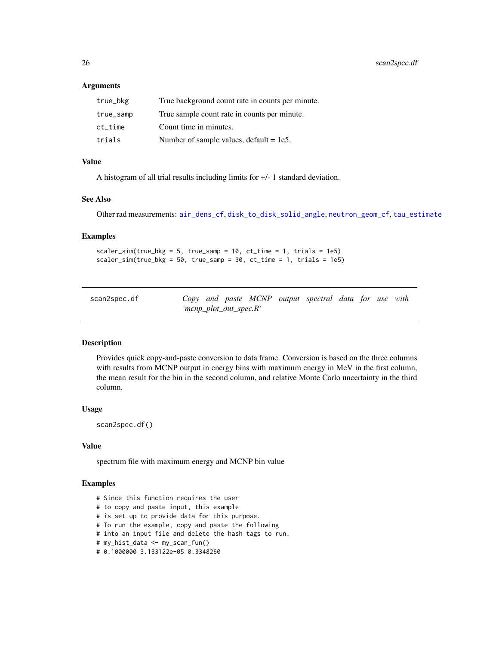<span id="page-25-0"></span>26 scan2spec.df

#### Arguments

| true_bkg  | True background count rate in counts per minute. |
|-----------|--------------------------------------------------|
| true_samp | True sample count rate in counts per minute.     |
| ct time   | Count time in minutes.                           |
| trials    | Number of sample values, $default = 1e5$ .       |

## Value

A histogram of all trial results including limits for +/- 1 standard deviation.

#### See Also

Other rad measurements: [air\\_dens\\_cf](#page-1-1), [disk\\_to\\_disk\\_solid\\_angle](#page-3-1), [neutron\\_geom\\_cf](#page-18-1), [tau\\_estimate](#page-30-1)

#### Examples

```
scaler_sim(true_bkg = 5, true_samp = 10, ct_time = 1, trials = 1e5)
scalar\_sim(true\_bkg = 50, true\_samp = 30, ct\_time = 1, trials = 1e5
```
<span id="page-25-1"></span>

| scan2spec.df |                        |  |  | Copy and paste MCNP output spectral data for use with |  |  |
|--------------|------------------------|--|--|-------------------------------------------------------|--|--|
|              | 'mcnp_plot_out_spec.R' |  |  |                                                       |  |  |

### Description

Provides quick copy-and-paste conversion to data frame. Conversion is based on the three columns with results from MCNP output in energy bins with maximum energy in MeV in the first column, the mean result for the bin in the second column, and relative Monte Carlo uncertainty in the third column.

#### Usage

scan2spec.df()

#### Value

spectrum file with maximum energy and MCNP bin value

- # Since this function requires the user
- # to copy and paste input, this example
- # is set up to provide data for this purpose.
- # To run the example, copy and paste the following
- # into an input file and delete the hash tags to run.
- # my\_hist\_data <- my\_scan\_fun()
- # 0.1000000 3.133122e-05 0.3348260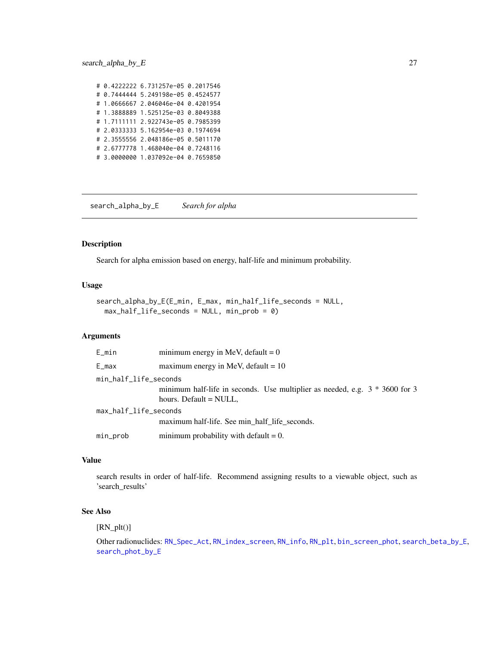<span id="page-26-0"></span># 0.4222222 6.731257e-05 0.2017546 # 0.7444444 5.249198e-05 0.4524577 # 1.0666667 2.046046e-04 0.4201954 # 1.3888889 1.525125e-03 0.8049388 # 1.7111111 2.922743e-05 0.7985399 # 2.0333333 5.162954e-03 0.1974694 # 2.3555556 2.048186e-05 0.5011170 # 2.6777778 1.468040e-04 0.7248116 # 3.0000000 1.037092e-04 0.7659850

<span id="page-26-1"></span>search\_alpha\_by\_E *Search for alpha*

#### Description

Search for alpha emission based on energy, half-life and minimum probability.

#### Usage

```
search_alpha_by_E(E_min, E_max, min_half_life_seconds = NULL,
 max\_half\_life\_seconds = NULL, min\_prob = 0)
```
## Arguments

| E_min                 | minimum energy in MeV, default = $0$                                          |
|-----------------------|-------------------------------------------------------------------------------|
| E_max                 | maximum energy in MeV, default = $10$                                         |
| min_half_life_seconds |                                                                               |
|                       | minimum half-life in seconds. Use multiplier as needed, e.g. $3 * 3600$ for 3 |
|                       | hours. Default = NULL,                                                        |
| max_half_life_seconds |                                                                               |
|                       | maximum half-life. See min half life seconds.                                 |
| min_prob              | minimum probability with default $= 0$ .                                      |

#### Value

search results in order of half-life. Recommend assigning results to a viewable object, such as 'search\_results'

## See Also

 $[RN_plt()]$ 

Other radionuclides: [RN\\_Spec\\_Act](#page-24-2), [RN\\_index\\_screen](#page-21-1), [RN\\_info](#page-22-1), [RN\\_plt](#page-23-1), [bin\\_screen\\_phot](#page-2-1), [search\\_beta\\_by\\_E](#page-27-1), [search\\_phot\\_by\\_E](#page-28-1)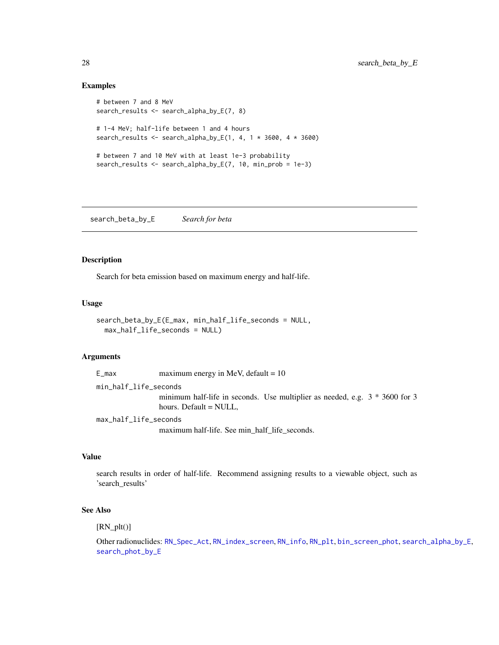#### Examples

```
# between 7 and 8 MeV
search_results <- search_alpha_by_E(7, 8)
# 1-4 MeV; half-life between 1 and 4 hours
search_results <- search_alpha_by_E(1, 4, 1 * 3600, 4 * 3600)
# between 7 and 10 MeV with at least 1e-3 probability
search_results <- search_alpha_by_E(7, 10, min_prob = 1e-3)
```
<span id="page-27-1"></span>search\_beta\_by\_E *Search for beta*

#### Description

Search for beta emission based on maximum energy and half-life.

#### Usage

```
search_beta_by_E(E_max, min_half_life_seconds = NULL,
 max_half_life_seconds = NULL)
```
#### Arguments

```
E_{max} maximum energy in MeV, default = 10
min_half_life_seconds
                minimum half-life in seconds. Use multiplier as needed, e.g. 3 * 3600 for 3
                hours. Default = NULL,
max_half_life_seconds
```
maximum half-life. See min\_half\_life\_seconds.

## Value

search results in order of half-life. Recommend assigning results to a viewable object, such as 'search\_results'

## See Also

 $[RN_plt()]$ 

Other radionuclides: [RN\\_Spec\\_Act](#page-24-2), [RN\\_index\\_screen](#page-21-1), [RN\\_info](#page-22-1), [RN\\_plt](#page-23-1), [bin\\_screen\\_phot](#page-2-1), [search\\_alpha\\_by\\_E](#page-26-1), [search\\_phot\\_by\\_E](#page-28-1)

<span id="page-27-0"></span>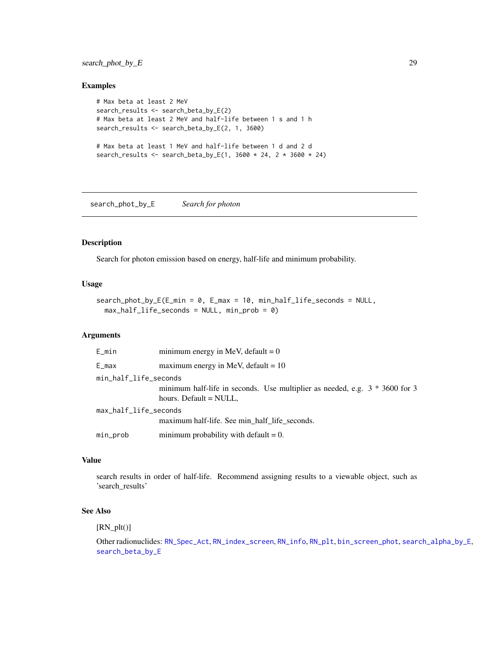<span id="page-28-0"></span>search\_phot\_by\_E 29

#### Examples

```
# Max beta at least 2 MeV
search_results <- search_beta_by_E(2)
# Max beta at least 2 MeV and half-life between 1 s and 1 h
search_results <- search_beta_by_E(2, 1, 3600)
# Max beta at least 1 MeV and half-life between 1 d and 2 d
search_results <- search_beta_by_E(1, 3600 * 24, 2 * 3600 * 24)
```
<span id="page-28-1"></span>search\_phot\_by\_E *Search for photon*

## Description

Search for photon emission based on energy, half-life and minimum probability.

#### Usage

```
search_phot_by_E(E_min = 0, E_max = 10, min_half_life_seconds = NULL,
 max_half_life_seconds = NULL, min_prob = 0)
```
## Arguments

| E_min                 | minimum energy in MeV, default = $0$                                                                    |
|-----------------------|---------------------------------------------------------------------------------------------------------|
| E_max                 | maximum energy in MeV, default = $10$                                                                   |
| min_half_life_seconds | minimum half-life in seconds. Use multiplier as needed, e.g. $3 * 3600$ for 3<br>hours. Default = NULL, |
| max_half_life_seconds | maximum half-life. See min half life seconds.                                                           |
| min_prob              | minimum probability with default $= 0$ .                                                                |

#### Value

search results in order of half-life. Recommend assigning results to a viewable object, such as 'search\_results'

## See Also

 $[RN_plt()]$ 

Other radionuclides: [RN\\_Spec\\_Act](#page-24-2), [RN\\_index\\_screen](#page-21-1), [RN\\_info](#page-22-1), [RN\\_plt](#page-23-1), [bin\\_screen\\_phot](#page-2-1), [search\\_alpha\\_by\\_E](#page-26-1), [search\\_beta\\_by\\_E](#page-27-1)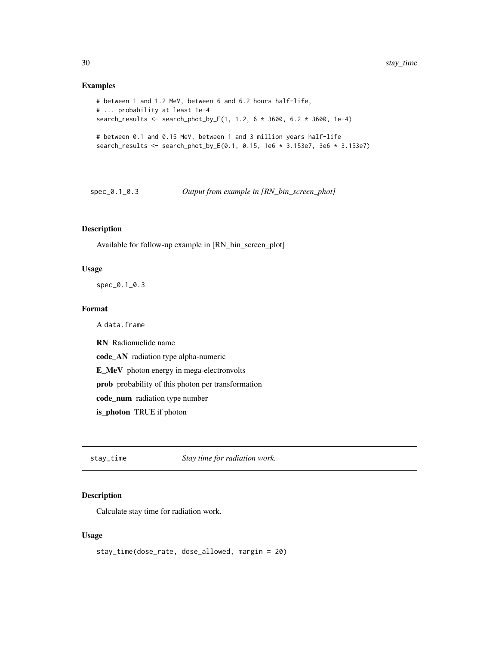#### Examples

```
# between 1 and 1.2 MeV, between 6 and 6.2 hours half-life,
# ... probability at least 1e-4
search_results <- search_phot_by_E(1, 1.2, 6 * 3600, 6.2 * 3600, 1e-4)
# between 0.1 and 0.15 MeV, between 1 and 3 million years half-life
search_results <- search_phot_by_E(0.1, 0.15, 1e6 * 3.153e7, 3e6 * 3.153e7)
```
spec\_0.1\_0.3 *Output from example in [RN\_bin\_screen\_phot]*

## Description

Available for follow-up example in [RN\_bin\_screen\_plot]

#### Usage

spec\_0.1\_0.3

## Format

A data.frame

RN Radionuclide name

code\_AN radiation type alpha-numeric

E\_MeV photon energy in mega-electronvolts

prob probability of this photon per transformation

code\_num radiation type number

is\_photon TRUE if photon

stay\_time *Stay time for radiation work.*

### Description

Calculate stay time for radiation work.

#### Usage

```
stay_time(dose_rate, dose_allowed, margin = 20)
```
<span id="page-29-0"></span>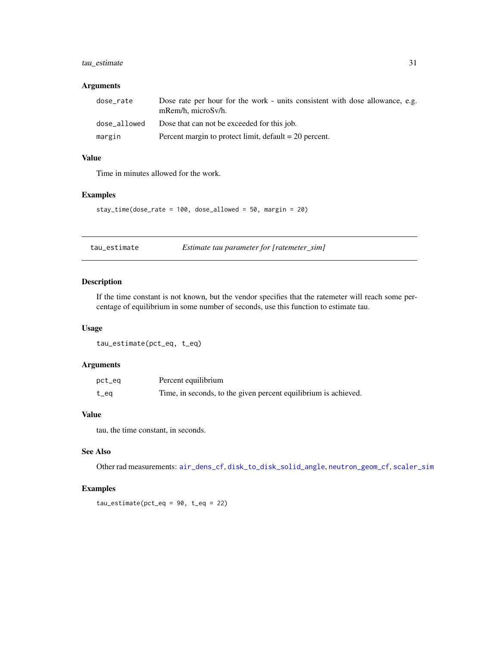## <span id="page-30-0"></span>tau\_estimate 31

## Arguments

| dose_rate    | Dose rate per hour for the work - units consistent with dose allowance, e.g.<br>$mRem/h$ , microSv/h. |
|--------------|-------------------------------------------------------------------------------------------------------|
| dose allowed | Dose that can not be exceeded for this job.                                                           |
| margin       | Percent margin to protect limit, $default = 20$ percent.                                              |

## Value

Time in minutes allowed for the work.

#### Examples

```
stay_time(dose_rate = 100, dose_allowed = 50, margin = 20)
```
<span id="page-30-1"></span>tau\_estimate *Estimate tau parameter for [ratemeter\_sim]*

## Description

If the time constant is not known, but the vendor specifies that the ratemeter will reach some percentage of equilibrium in some number of seconds, use this function to estimate tau.

#### Usage

```
tau_estimate(pct_eq, t_eq)
```
#### Arguments

| pct_eq | Percent equilibrium                                             |
|--------|-----------------------------------------------------------------|
| $t$ eq | Time, in seconds, to the given percent equilibrium is achieved. |

#### Value

tau, the time constant, in seconds.

## See Also

Other rad measurements: [air\\_dens\\_cf](#page-1-1), [disk\\_to\\_disk\\_solid\\_angle](#page-3-1), [neutron\\_geom\\_cf](#page-18-1), [scaler\\_sim](#page-24-1)

```
tau\_estimate(pct\_eq = 90, t\_eq = 22)
```